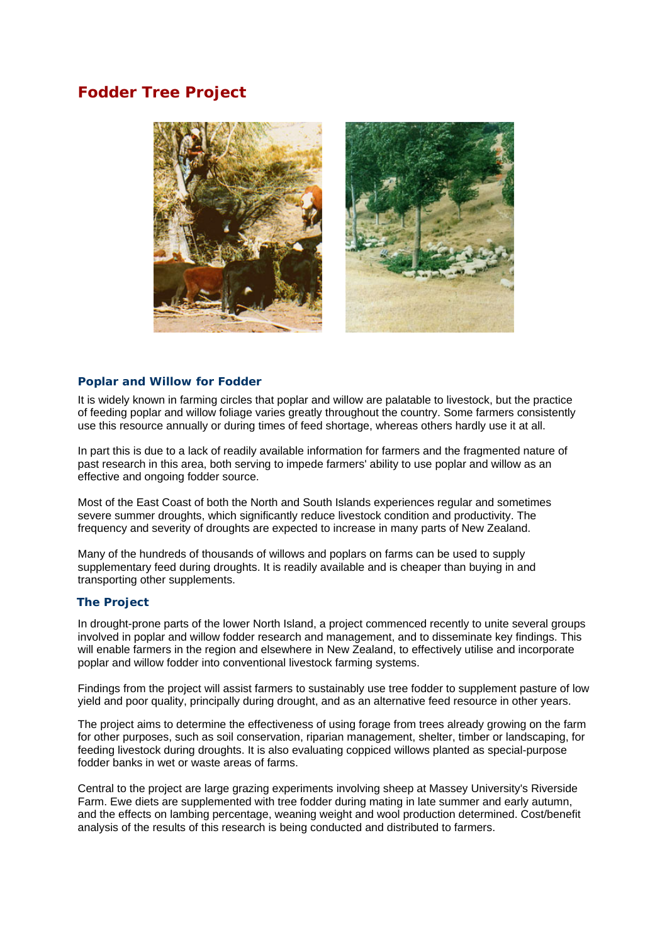# **Fodder Tree Project**



## **Poplar and Willow for Fodder**

It is widely known in farming circles that poplar and willow are palatable to livestock, but the practice of feeding poplar and willow foliage varies greatly throughout the country. Some farmers consistently use this resource annually or during times of feed shortage, whereas others hardly use it at all.

In part this is due to a lack of readily available information for farmers and the fragmented nature of past research in this area, both serving to impede farmers' ability to use poplar and willow as an effective and ongoing fodder source.

Most of the East Coast of both the North and South Islands experiences regular and sometimes severe summer droughts, which significantly reduce livestock condition and productivity. The frequency and severity of droughts are expected to increase in many parts of New Zealand.

Many of the hundreds of thousands of willows and poplars on farms can be used to supply supplementary feed during droughts. It is readily available and is cheaper than buying in and transporting other supplements.

## **The Project**

In drought-prone parts of the lower North Island, a project commenced recently to unite several groups involved in poplar and willow fodder research and management, and to disseminate key findings. This will enable farmers in the region and elsewhere in New Zealand, to effectively utilise and incorporate poplar and willow fodder into conventional livestock farming systems.

Findings from the project will assist farmers to sustainably use tree fodder to supplement pasture of low yield and poor quality, principally during drought, and as an alternative feed resource in other years.

The project aims to determine the effectiveness of using forage from trees already growing on the farm for other purposes, such as soil conservation, riparian management, shelter, timber or landscaping, for feeding livestock during droughts. It is also evaluating coppiced willows planted as special-purpose fodder banks in wet or waste areas of farms.

Central to the project are large grazing experiments involving sheep at Massey University's Riverside Farm. Ewe diets are supplemented with tree fodder during mating in late summer and early autumn, and the effects on lambing percentage, weaning weight and wool production determined. Cost/benefit analysis of the results of this research is being conducted and distributed to farmers.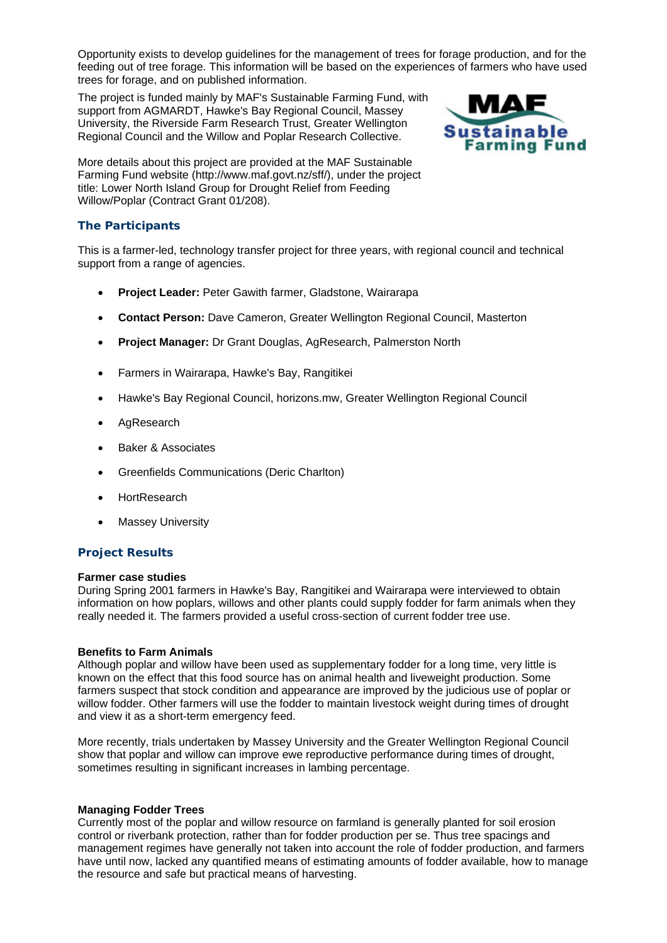Opportunity exists to develop guidelines for the management of trees for forage production, and for the feeding out of tree forage. This information will be based on the experiences of farmers who have used trees for forage, and on published information.

The project is funded mainly by MAF's Sustainable Farming Fund, with support from AGMARDT, Hawke's Bay Regional Council, Massey University, the Riverside Farm Research Trust, Greater Wellington Regional Council and the Willow and Poplar Research Collective.



More details about this project are provided at the MAF Sustainable Farming Fund website (http://www.maf.govt.nz/sff/), under the project title: Lower North Island Group for Drought Relief from Feeding Willow/Poplar (Contract Grant 01/208).

# **The Participants**

This is a farmer-led, technology transfer project for three years, with regional council and technical support from a range of agencies.

- **Project Leader:** Peter Gawith farmer, Gladstone, Wairarapa
- **Contact Person:** Dave Cameron, Greater Wellington Regional Council, Masterton
- **Project Manager:** Dr Grant Douglas, AgResearch, Palmerston North
- Farmers in Wairarapa, Hawke's Bay, Rangitikei
- Hawke's Bay Regional Council, horizons.mw, Greater Wellington Regional Council
- AgResearch
- Baker & Associates
- Greenfields Communications (Deric Charlton)
- **HortResearch**
- Massey University

## **Project Results**

#### **Farmer case studies**

During Spring 2001 farmers in Hawke's Bay, Rangitikei and Wairarapa were interviewed to obtain information on how poplars, willows and other plants could supply fodder for farm animals when they really needed it. The farmers provided a useful cross-section of current fodder tree use.

#### **Benefits to Farm Animals**

Although poplar and willow have been used as supplementary fodder for a long time, very little is known on the effect that this food source has on animal health and liveweight production. Some farmers suspect that stock condition and appearance are improved by the judicious use of poplar or willow fodder. Other farmers will use the fodder to maintain livestock weight during times of drought and view it as a short-term emergency feed.

More recently, trials undertaken by Massey University and the Greater Wellington Regional Council show that poplar and willow can improve ewe reproductive performance during times of drought, sometimes resulting in significant increases in lambing percentage.

#### **Managing Fodder Trees**

Currently most of the poplar and willow resource on farmland is generally planted for soil erosion control or riverbank protection, rather than for fodder production per se. Thus tree spacings and management regimes have generally not taken into account the role of fodder production, and farmers have until now, lacked any quantified means of estimating amounts of fodder available, how to manage the resource and safe but practical means of harvesting.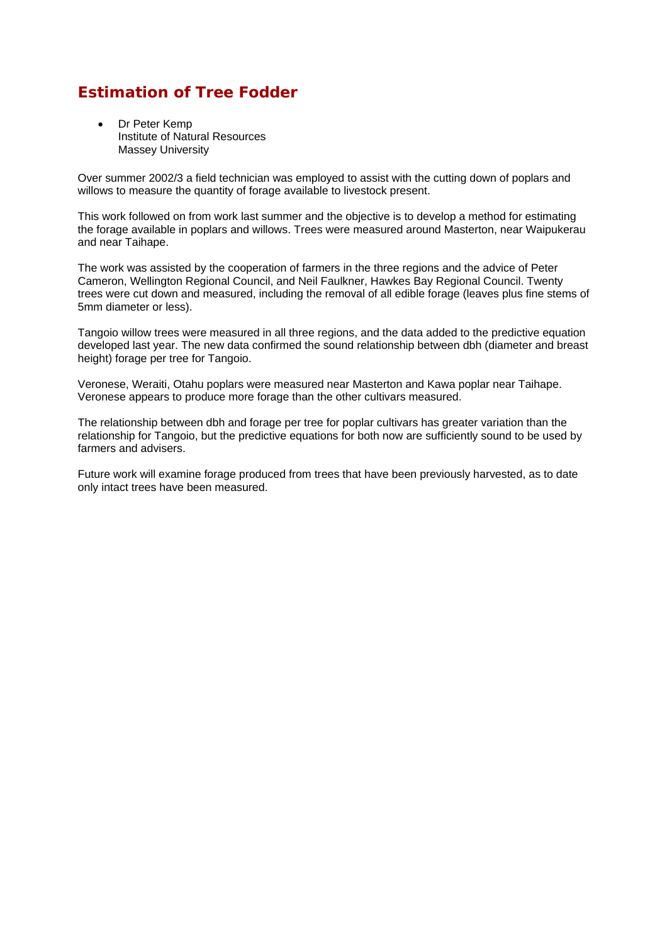# **Estimation of Tree Fodder**

Dr Peter Kemp Institute of Natural Resources Massey University

Over summer 2002/3 a field technician was employed to assist with the cutting down of poplars and willows to measure the quantity of forage available to livestock present.

This work followed on from work last summer and the objective is to develop a method for estimating the forage available in poplars and willows. Trees were measured around Masterton, near Waipukerau and near Taihape.

The work was assisted by the cooperation of farmers in the three regions and the advice of Peter Cameron, Wellington Regional Council, and Neil Faulkner, Hawkes Bay Regional Council. Twenty trees were cut down and measured, including the removal of all edible forage (leaves plus fine stems of 5mm diameter or less).

Tangoio willow trees were measured in all three regions, and the data added to the predictive equation developed last year. The new data confirmed the sound relationship between dbh (diameter and breast height) forage per tree for Tangoio.

Veronese, Weraiti, Otahu poplars were measured near Masterton and Kawa poplar near Taihape. Veronese appears to produce more forage than the other cultivars measured.

The relationship between dbh and forage per tree for poplar cultivars has greater variation than the relationship for Tangoio, but the predictive equations for both now are sufficiently sound to be used by farmers and advisers.

Future work will examine forage produced from trees that have been previously harvested, as to date only intact trees have been measured.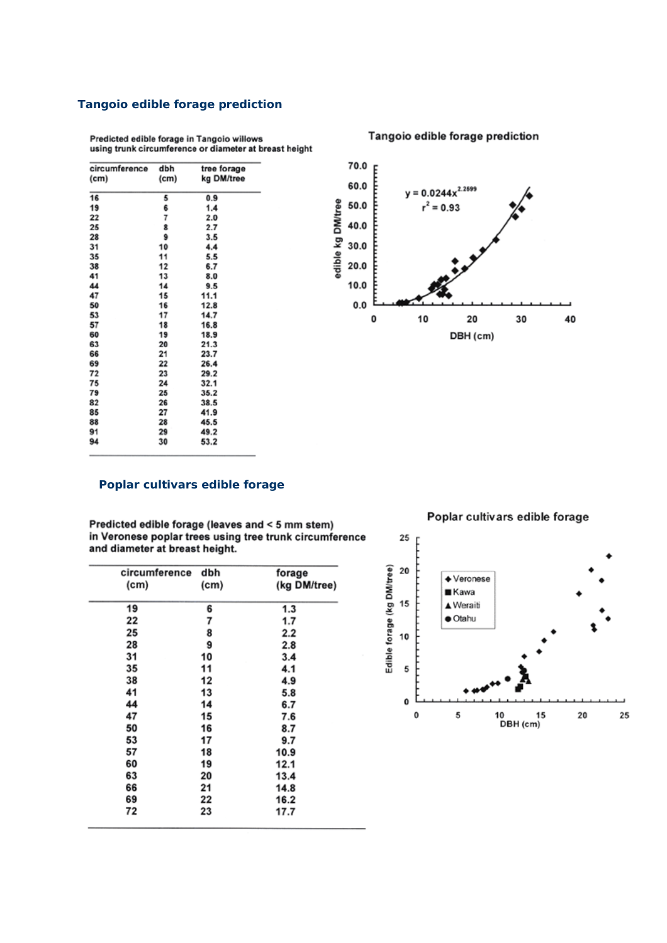# **Tangoio edible forage prediction**

Predicted edible forage in Tangoio willows using trunk circumference or diameter at breast height

| circumference     | dbh               | tree forage |
|-------------------|-------------------|-------------|
| (c <sub>m</sub> ) | (c <sub>m</sub> ) | kg DM/tree  |
| 16                |                   | 0.9         |
|                   | 5                 |             |
| 19                | 6                 | 1.4         |
| 22                | 7                 | 2.0         |
| 25                | 8                 | 2.7         |
| 28                | 9                 | 3.5         |
| 31                | 10                | 4.4         |
| 35                | 11                | 5.5         |
| 38                | 12                | 6.7         |
| 41                | 13                | 8.0         |
| 44                | 14                | 9.5         |
| 47                | 15                | 11.1        |
| 50                | 16                | 12.8        |
| 53                | 17                | 14.7        |
| 57                | 18                | 16.8        |
| 60                | 19                | 18.9        |
| 63                | 20                | 21.3        |
| 66                | 21                | 23.7        |
| 69                | 22                | 26.4        |
| 72                | 23                | 29.2        |
| 75                | 24                | 32.1        |
| 79                | 25                | 35.2        |
| 82                | 26                | 38.5        |
| 85                | 27                | 41.9        |
| 88                | 28                | 45.5        |
| 91                | 29                | 49.2        |
| 94                | 30                | 53.2        |
|                   |                   |             |

70.0 p 60.0  $y = 0.0244x^{2.2699}$ edible kg DM/tree 50.0  $r^2 = 0.93$ 40.0 30.0  $20.0$  $10.0$  $0.0$ 0  $10$ 20 30 40 DBH (cm)

# **Poplar cultivars edible forage**

Predicted edible forage (leaves and < 5 mm stem) in Veronese poplar trees using tree trunk circumference and diameter at breast height.

| circumference | dbh  | forage       |
|---------------|------|--------------|
| (cm)          | (cm) | (kg DM/tree) |
| 19            | 6    | 1.3          |
| 22            | 7    | 1.7          |
| 25            | 8    | 2.2          |
| 28            | 9    | 2.8          |
| 31            | 10   | 3.4          |
| 35            | 11   | 4.1          |
| 38            | 12   | 4.9          |
| 41            | 13   | 5.8          |
| 44            | 14   | 6.7          |
| 47            | 15   | 7.6          |
| 50            | 16   | 8.7          |
| 53            | 17   | 9.7          |
| 57            | 18   | 10.9         |
| 60            | 19   | 12.1         |
| 63            | 20   | 13.4         |
| 66            | 21   | 14.8         |
| 69            | 22   | 16.2         |
| 72            | 23   | 17.7         |

Poplar cultivars edible forage



### Tangoio edible forage prediction